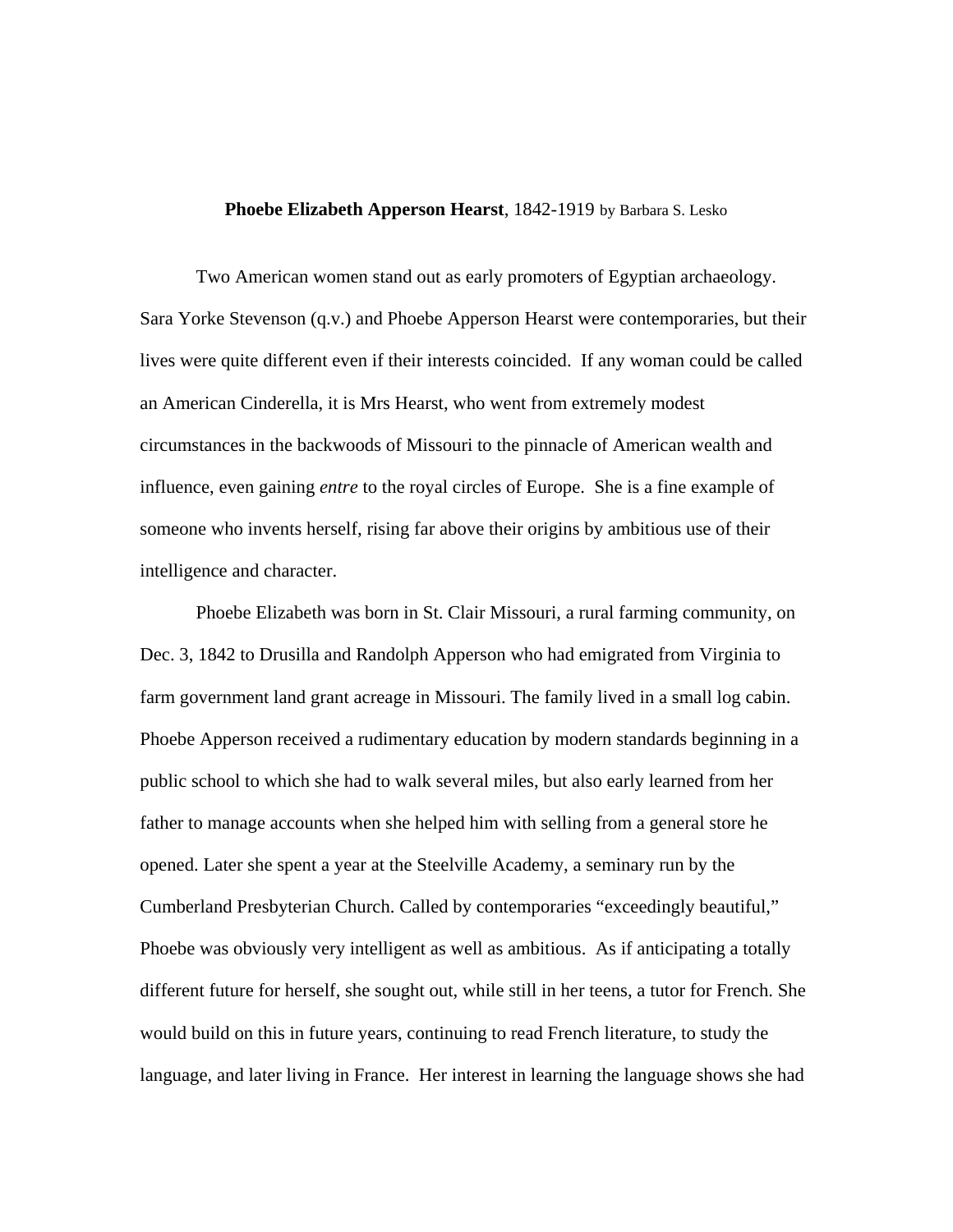## **Phoebe Elizabeth Apperson Hearst**, 1842-1919 by Barbara S. Lesko

Two American women stand out as early promoters of Egyptian archaeology. Sara Yorke Stevenson (q.v.) and Phoebe Apperson Hearst were contemporaries, but their lives were quite different even if their interests coincided. If any woman could be called an American Cinderella, it is Mrs Hearst, who went from extremely modest circumstances in the backwoods of Missouri to the pinnacle of American wealth and influence, even gaining *entre* to the royal circles of Europe. She is a fine example of someone who invents herself, rising far above their origins by ambitious use of their intelligence and character.

Phoebe Elizabeth was born in St. Clair Missouri, a rural farming community, on Dec. 3, 1842 to Drusilla and Randolph Apperson who had emigrated from Virginia to farm government land grant acreage in Missouri. The family lived in a small log cabin. Phoebe Apperson received a rudimentary education by modern standards beginning in a public school to which she had to walk several miles, but also early learned from her father to manage accounts when she helped him with selling from a general store he opened. Later she spent a year at the Steelville Academy, a seminary run by the Cumberland Presbyterian Church. Called by contemporaries "exceedingly beautiful," Phoebe was obviously very intelligent as well as ambitious. As if anticipating a totally different future for herself, she sought out, while still in her teens, a tutor for French. She would build on this in future years, continuing to read French literature, to study the language, and later living in France. Her interest in learning the language shows she had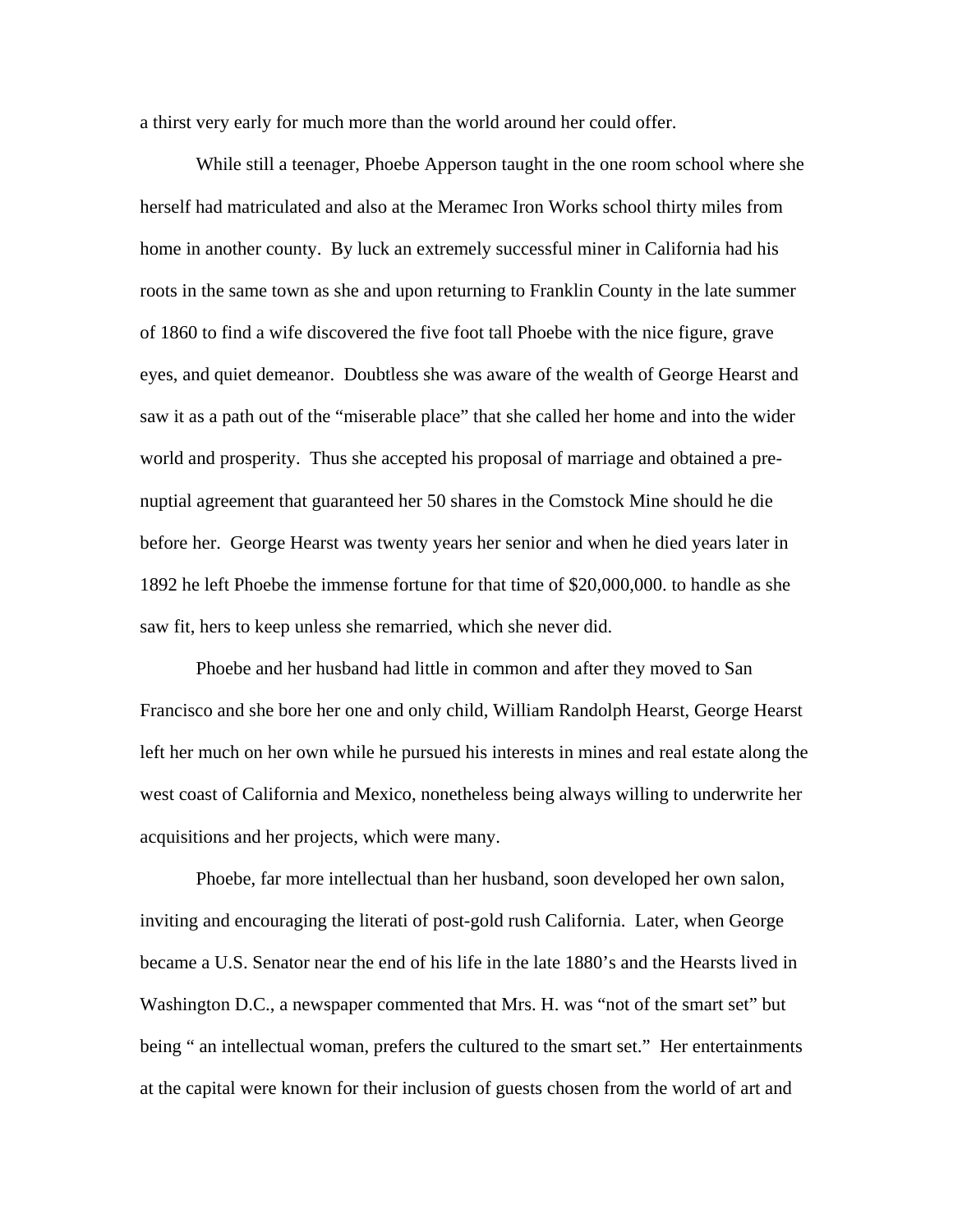a thirst very early for much more than the world around her could offer.

While still a teenager, Phoebe Apperson taught in the one room school where she herself had matriculated and also at the Meramec Iron Works school thirty miles from home in another county. By luck an extremely successful miner in California had his roots in the same town as she and upon returning to Franklin County in the late summer of 1860 to find a wife discovered the five foot tall Phoebe with the nice figure, grave eyes, and quiet demeanor. Doubtless she was aware of the wealth of George Hearst and saw it as a path out of the "miserable place" that she called her home and into the wider world and prosperity. Thus she accepted his proposal of marriage and obtained a prenuptial agreement that guaranteed her 50 shares in the Comstock Mine should he die before her. George Hearst was twenty years her senior and when he died years later in 1892 he left Phoebe the immense fortune for that time of \$20,000,000. to handle as she saw fit, hers to keep unless she remarried, which she never did.

Phoebe and her husband had little in common and after they moved to San Francisco and she bore her one and only child, William Randolph Hearst, George Hearst left her much on her own while he pursued his interests in mines and real estate along the west coast of California and Mexico, nonetheless being always willing to underwrite her acquisitions and her projects, which were many.

Phoebe, far more intellectual than her husband, soon developed her own salon, inviting and encouraging the literati of post-gold rush California. Later, when George became a U.S. Senator near the end of his life in the late 1880's and the Hearsts lived in Washington D.C., a newspaper commented that Mrs. H. was "not of the smart set" but being " an intellectual woman, prefers the cultured to the smart set." Her entertainments at the capital were known for their inclusion of guests chosen from the world of art and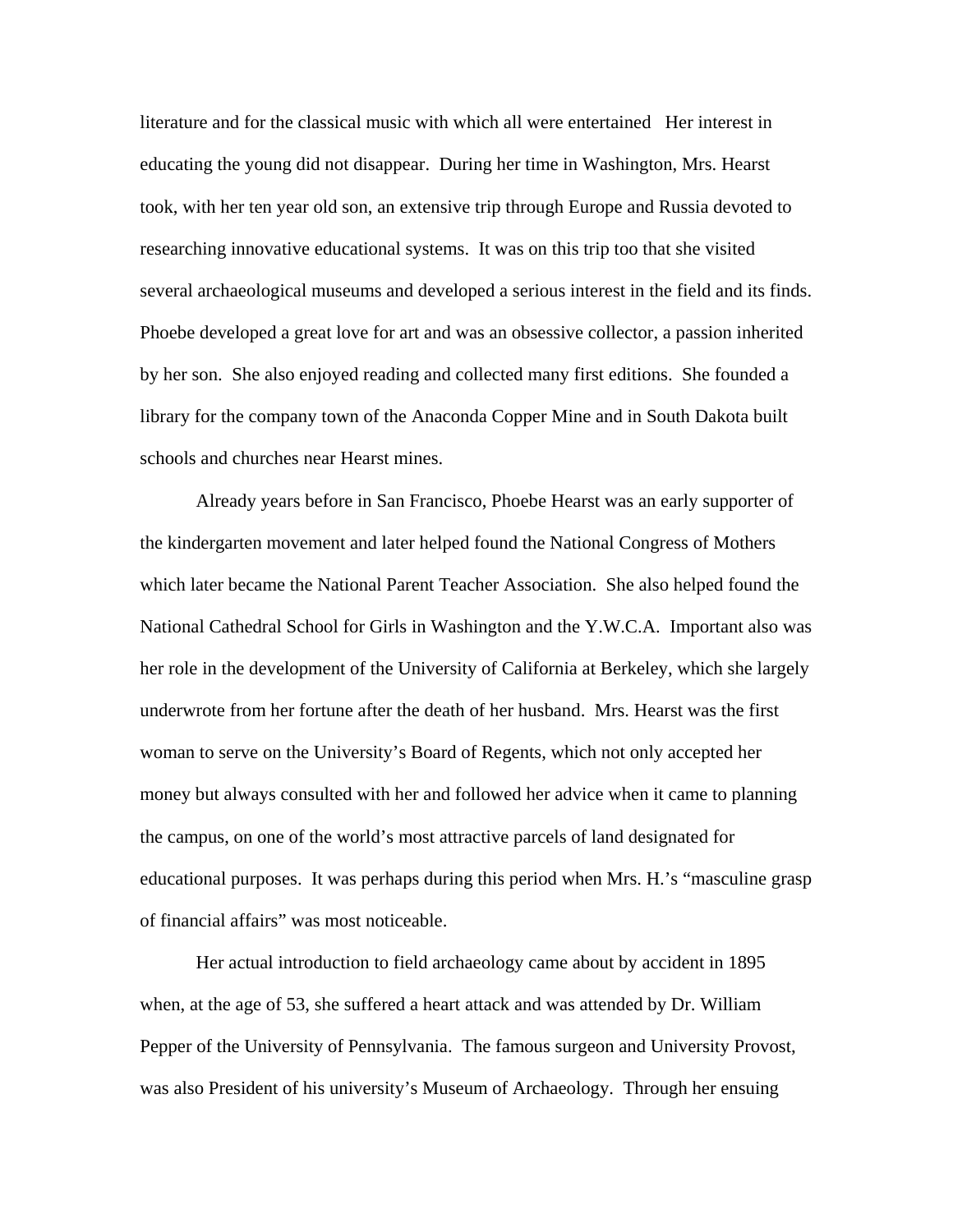literature and for the classical music with which all were entertained Her interest in educating the young did not disappear. During her time in Washington, Mrs. Hearst took, with her ten year old son, an extensive trip through Europe and Russia devoted to researching innovative educational systems. It was on this trip too that she visited several archaeological museums and developed a serious interest in the field and its finds. Phoebe developed a great love for art and was an obsessive collector, a passion inherited by her son. She also enjoyed reading and collected many first editions. She founded a library for the company town of the Anaconda Copper Mine and in South Dakota built schools and churches near Hearst mines.

Already years before in San Francisco, Phoebe Hearst was an early supporter of the kindergarten movement and later helped found the National Congress of Mothers which later became the National Parent Teacher Association. She also helped found the National Cathedral School for Girls in Washington and the Y.W.C.A. Important also was her role in the development of the University of California at Berkeley, which she largely underwrote from her fortune after the death of her husband. Mrs. Hearst was the first woman to serve on the University's Board of Regents, which not only accepted her money but always consulted with her and followed her advice when it came to planning the campus, on one of the world's most attractive parcels of land designated for educational purposes. It was perhaps during this period when Mrs. H.'s "masculine grasp of financial affairs" was most noticeable.

Her actual introduction to field archaeology came about by accident in 1895 when, at the age of 53, she suffered a heart attack and was attended by Dr. William Pepper of the University of Pennsylvania. The famous surgeon and University Provost, was also President of his university's Museum of Archaeology. Through her ensuing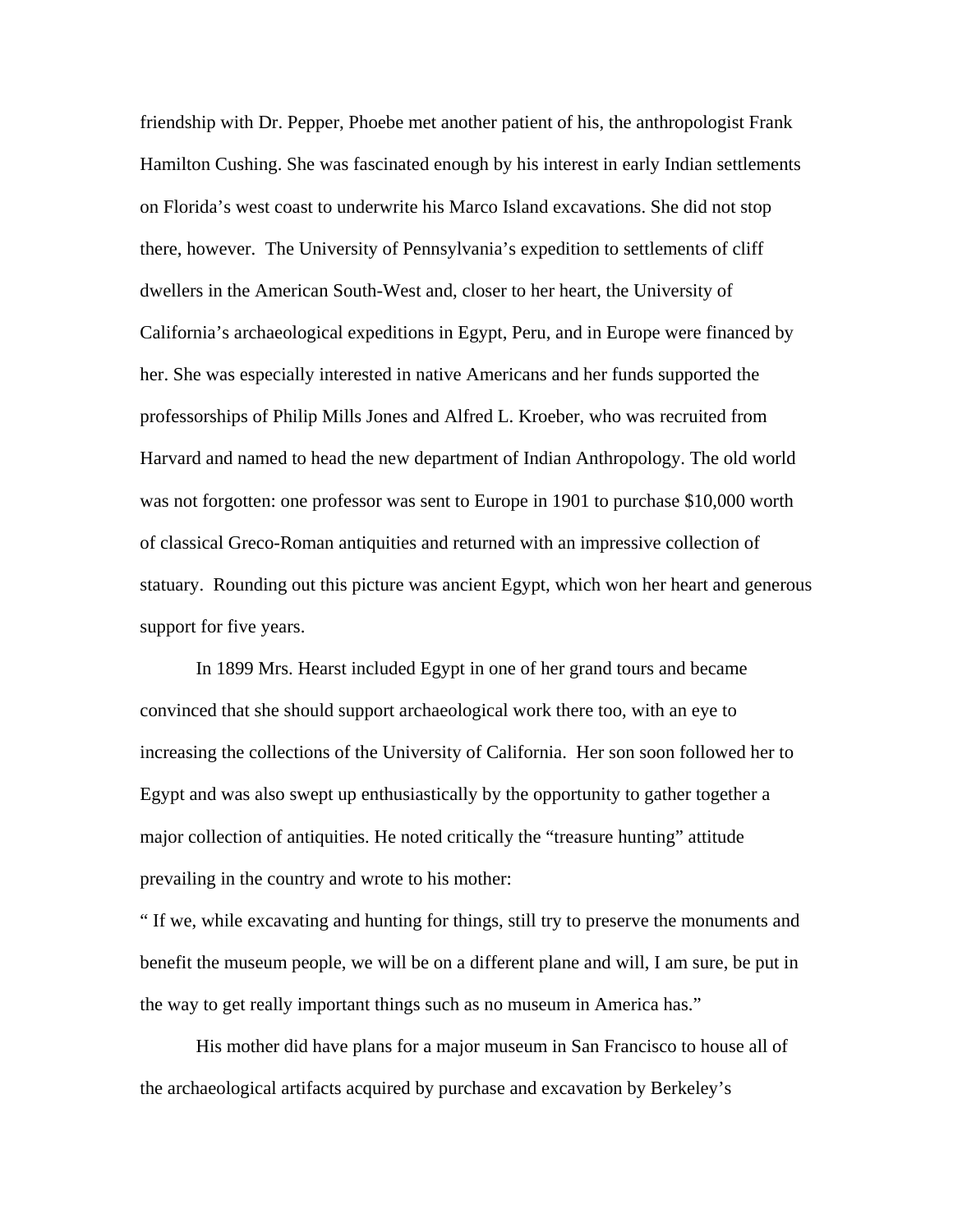friendship with Dr. Pepper, Phoebe met another patient of his, the anthropologist Frank Hamilton Cushing. She was fascinated enough by his interest in early Indian settlements on Florida's west coast to underwrite his Marco Island excavations. She did not stop there, however. The University of Pennsylvania's expedition to settlements of cliff dwellers in the American South-West and, closer to her heart, the University of California's archaeological expeditions in Egypt, Peru, and in Europe were financed by her. She was especially interested in native Americans and her funds supported the professorships of Philip Mills Jones and Alfred L. Kroeber, who was recruited from Harvard and named to head the new department of Indian Anthropology. The old world was not forgotten: one professor was sent to Europe in 1901 to purchase \$10,000 worth of classical Greco-Roman antiquities and returned with an impressive collection of statuary. Rounding out this picture was ancient Egypt, which won her heart and generous support for five years.

In 1899 Mrs. Hearst included Egypt in one of her grand tours and became convinced that she should support archaeological work there too, with an eye to increasing the collections of the University of California. Her son soon followed her to Egypt and was also swept up enthusiastically by the opportunity to gather together a major collection of antiquities. He noted critically the "treasure hunting" attitude prevailing in the country and wrote to his mother:

" If we, while excavating and hunting for things, still try to preserve the monuments and benefit the museum people, we will be on a different plane and will, I am sure, be put in the way to get really important things such as no museum in America has."

His mother did have plans for a major museum in San Francisco to house all of the archaeological artifacts acquired by purchase and excavation by Berkeley's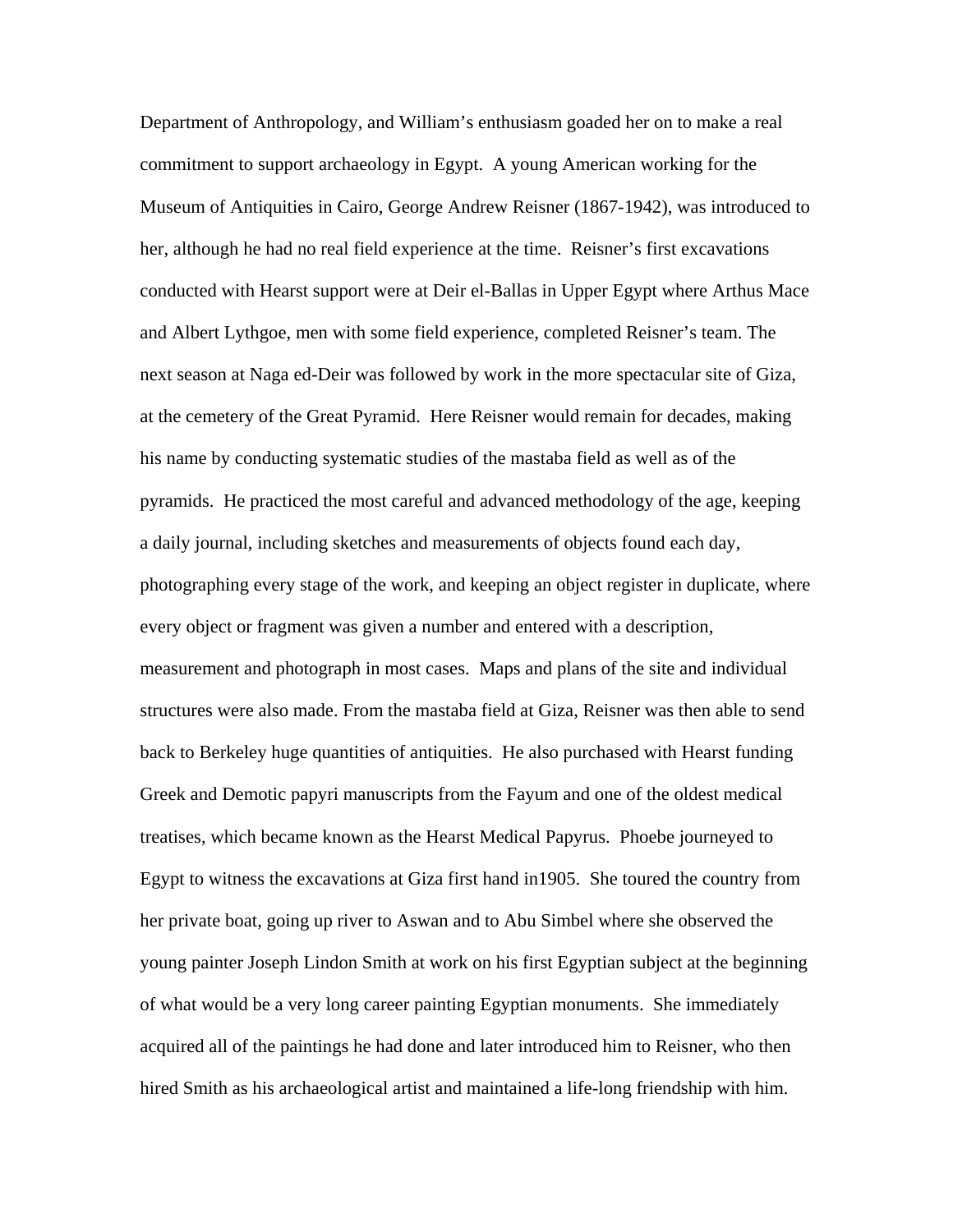Department of Anthropology, and William's enthusiasm goaded her on to make a real commitment to support archaeology in Egypt. A young American working for the Museum of Antiquities in Cairo, George Andrew Reisner (1867-1942), was introduced to her, although he had no real field experience at the time. Reisner's first excavations conducted with Hearst support were at Deir el-Ballas in Upper Egypt where Arthus Mace and Albert Lythgoe, men with some field experience, completed Reisner's team. The next season at Naga ed-Deir was followed by work in the more spectacular site of Giza, at the cemetery of the Great Pyramid. Here Reisner would remain for decades, making his name by conducting systematic studies of the mastaba field as well as of the pyramids. He practiced the most careful and advanced methodology of the age, keeping a daily journal, including sketches and measurements of objects found each day, photographing every stage of the work, and keeping an object register in duplicate, where every object or fragment was given a number and entered with a description, measurement and photograph in most cases. Maps and plans of the site and individual structures were also made. From the mastaba field at Giza, Reisner was then able to send back to Berkeley huge quantities of antiquities. He also purchased with Hearst funding Greek and Demotic papyri manuscripts from the Fayum and one of the oldest medical treatises, which became known as the Hearst Medical Papyrus. Phoebe journeyed to Egypt to witness the excavations at Giza first hand in1905. She toured the country from her private boat, going up river to Aswan and to Abu Simbel where she observed the young painter Joseph Lindon Smith at work on his first Egyptian subject at the beginning of what would be a very long career painting Egyptian monuments. She immediately acquired all of the paintings he had done and later introduced him to Reisner, who then hired Smith as his archaeological artist and maintained a life-long friendship with him.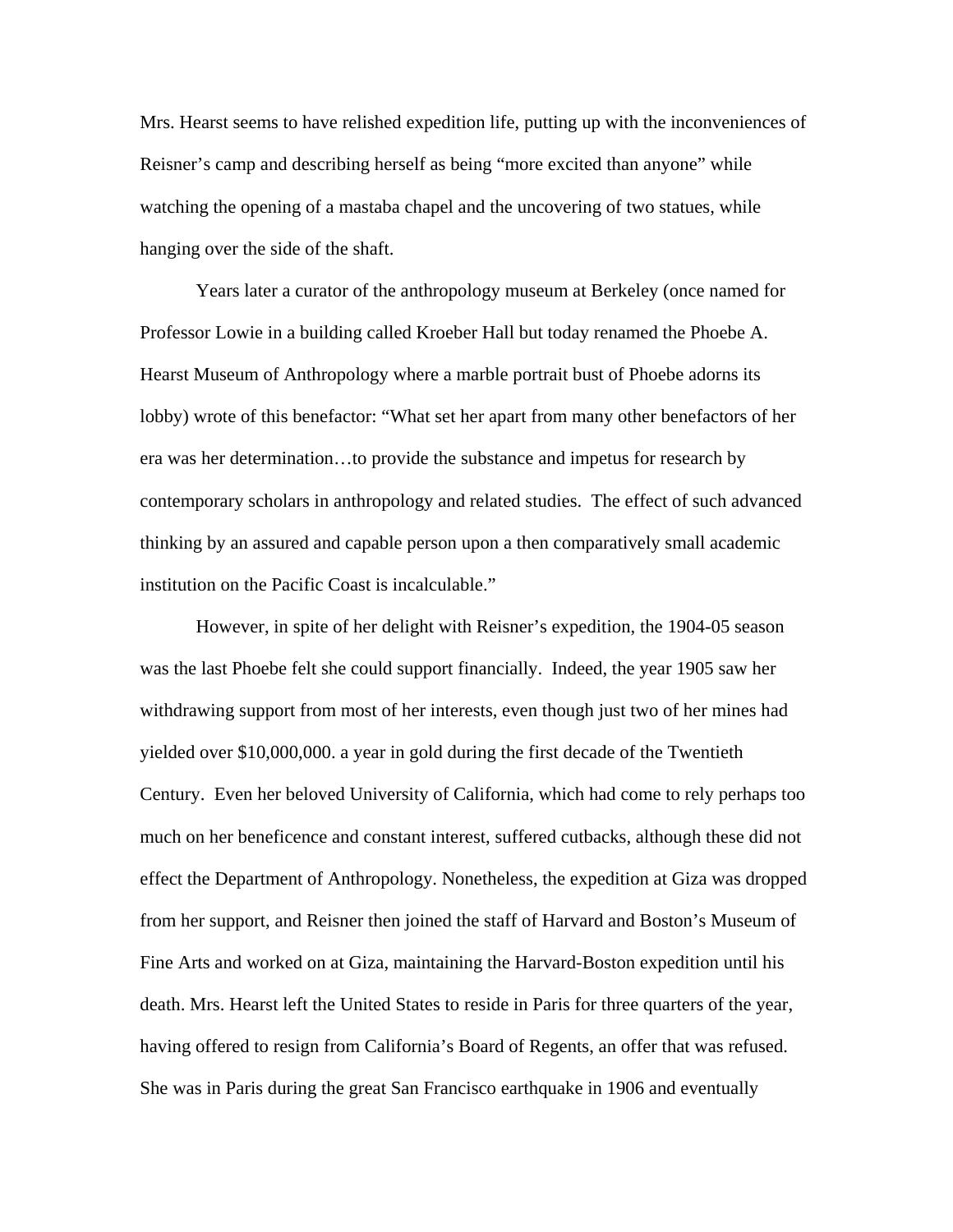Mrs. Hearst seems to have relished expedition life, putting up with the inconveniences of Reisner's camp and describing herself as being "more excited than anyone" while watching the opening of a mastaba chapel and the uncovering of two statues, while hanging over the side of the shaft.

Years later a curator of the anthropology museum at Berkeley (once named for Professor Lowie in a building called Kroeber Hall but today renamed the Phoebe A. Hearst Museum of Anthropology where a marble portrait bust of Phoebe adorns its lobby) wrote of this benefactor: "What set her apart from many other benefactors of her era was her determination…to provide the substance and impetus for research by contemporary scholars in anthropology and related studies. The effect of such advanced thinking by an assured and capable person upon a then comparatively small academic institution on the Pacific Coast is incalculable."

However, in spite of her delight with Reisner's expedition, the 1904-05 season was the last Phoebe felt she could support financially. Indeed, the year 1905 saw her withdrawing support from most of her interests, even though just two of her mines had yielded over \$10,000,000. a year in gold during the first decade of the Twentieth Century. Even her beloved University of California, which had come to rely perhaps too much on her beneficence and constant interest, suffered cutbacks, although these did not effect the Department of Anthropology. Nonetheless, the expedition at Giza was dropped from her support, and Reisner then joined the staff of Harvard and Boston's Museum of Fine Arts and worked on at Giza, maintaining the Harvard-Boston expedition until his death. Mrs. Hearst left the United States to reside in Paris for three quarters of the year, having offered to resign from California's Board of Regents, an offer that was refused. She was in Paris during the great San Francisco earthquake in 1906 and eventually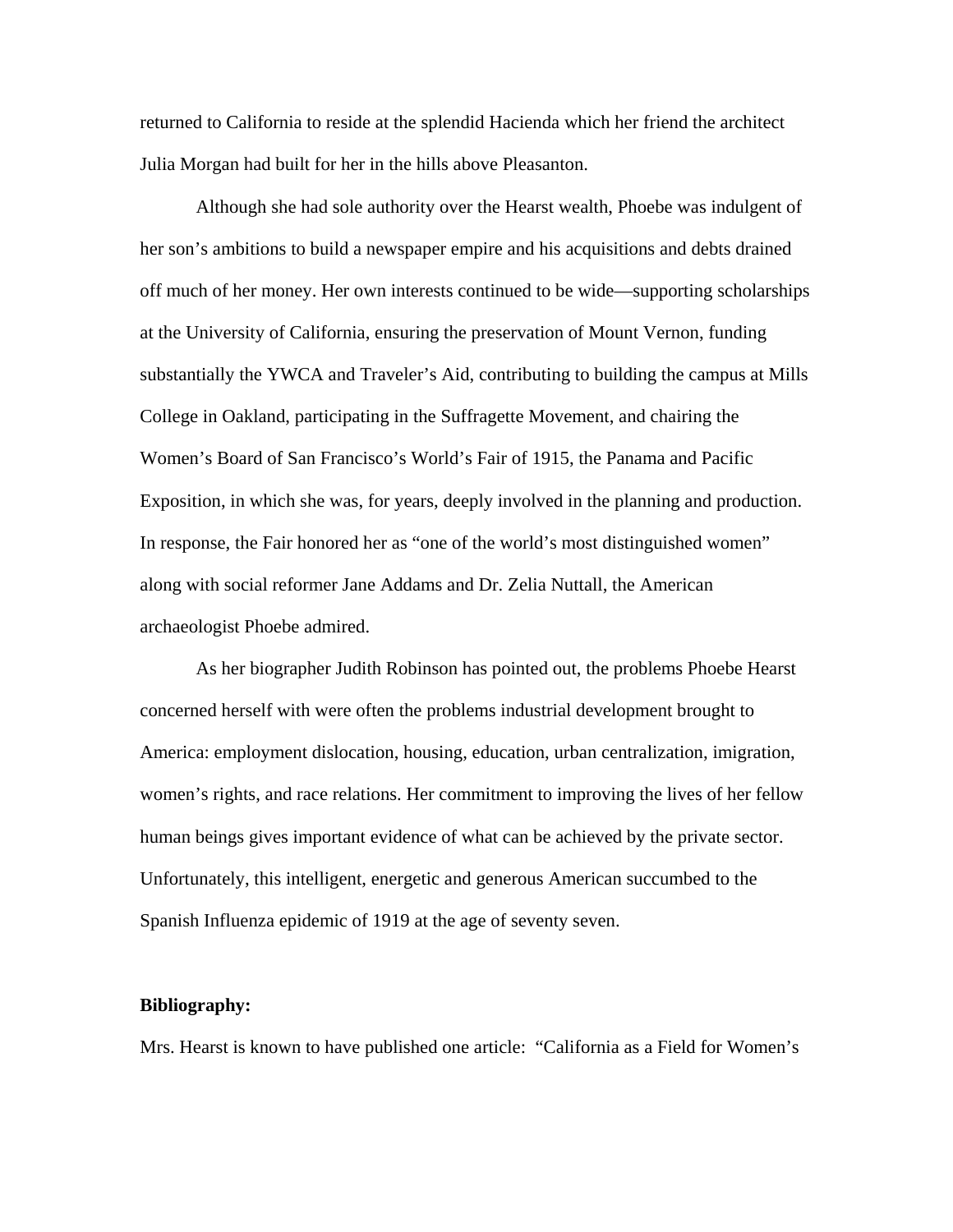returned to California to reside at the splendid Hacienda which her friend the architect Julia Morgan had built for her in the hills above Pleasanton.

Although she had sole authority over the Hearst wealth, Phoebe was indulgent of her son's ambitions to build a newspaper empire and his acquisitions and debts drained off much of her money. Her own interests continued to be wide—supporting scholarships at the University of California, ensuring the preservation of Mount Vernon, funding substantially the YWCA and Traveler's Aid, contributing to building the campus at Mills College in Oakland, participating in the Suffragette Movement, and chairing the Women's Board of San Francisco's World's Fair of 1915, the Panama and Pacific Exposition, in which she was, for years, deeply involved in the planning and production. In response, the Fair honored her as "one of the world's most distinguished women" along with social reformer Jane Addams and Dr. Zelia Nuttall, the American archaeologist Phoebe admired.

As her biographer Judith Robinson has pointed out, the problems Phoebe Hearst concerned herself with were often the problems industrial development brought to America: employment dislocation, housing, education, urban centralization, imigration, women's rights, and race relations. Her commitment to improving the lives of her fellow human beings gives important evidence of what can be achieved by the private sector. Unfortunately, this intelligent, energetic and generous American succumbed to the Spanish Influenza epidemic of 1919 at the age of seventy seven.

## **Bibliography:**

Mrs. Hearst is known to have published one article: "California as a Field for Women's